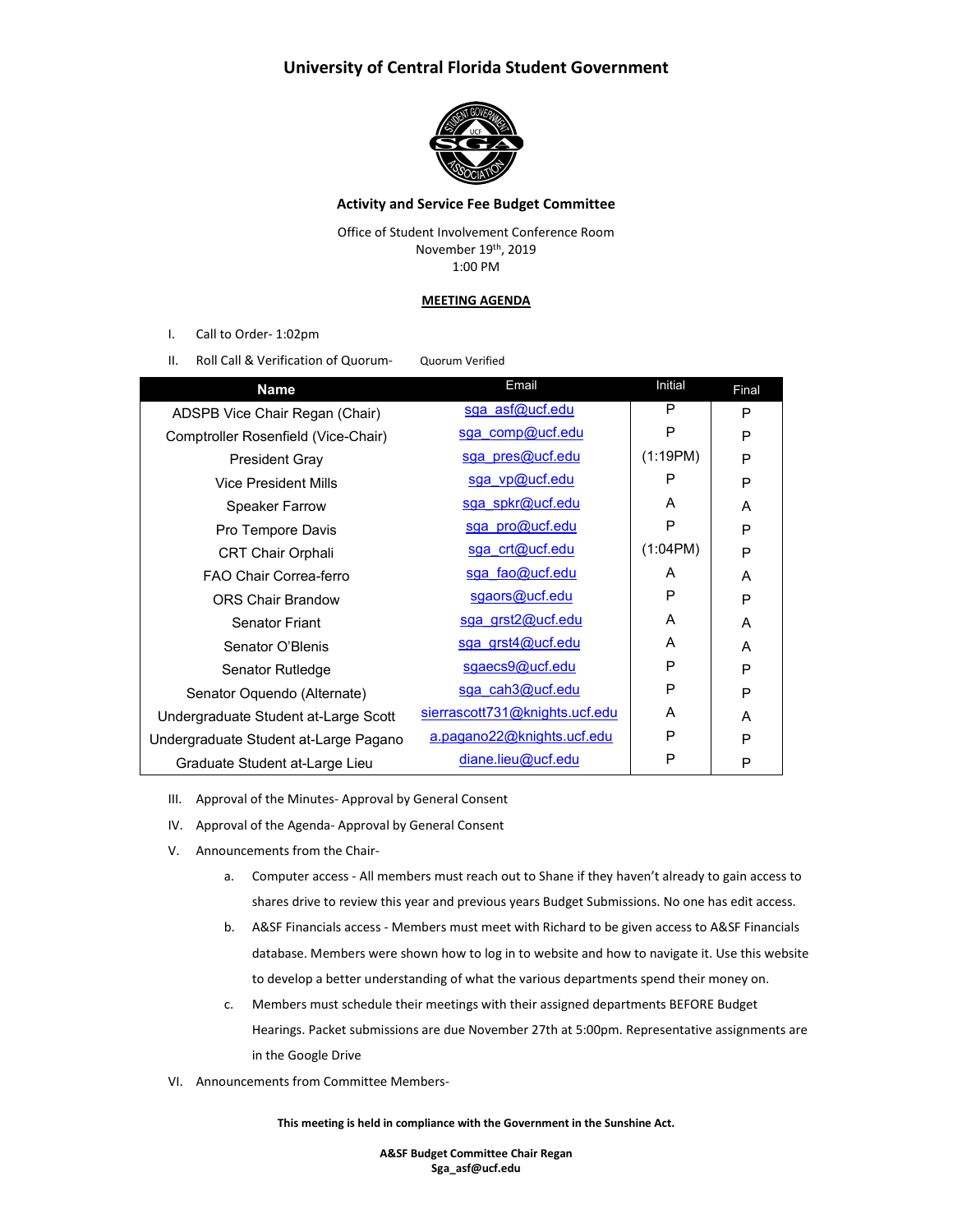## **University of Central Florida Student Government**



### **Activity and Service Fee Budget Committee**

Office of Student Involvement Conference Room November 19th, 2019 1:00 PM

#### **MEETING AGENDA**

- I. Call to Order- 1:02pm
- II. Roll Call & Verification of Quorum- Quorum Verified

| <b>Name</b>                           | Email                          | <b>Initial</b> | Final |
|---------------------------------------|--------------------------------|----------------|-------|
| ADSPB Vice Chair Regan (Chair)        | sga asf@ucf.edu                | P              | P     |
| Comptroller Rosenfield (Vice-Chair)   | sga comp@ucf.edu               | P              | P     |
| <b>President Gray</b>                 | sga pres@ucf.edu               | (1:19PM)       | P     |
| Vice President Mills                  | sga vp@ucf.edu                 | P              | P     |
| <b>Speaker Farrow</b>                 | sga spkr@ucf.edu               | A              | A     |
| Pro Tempore Davis                     | sga pro@ucf.edu                | P              | P     |
| <b>CRT Chair Orphali</b>              | sga crt@ucf.edu                | (1:04PM)       | P     |
| FAO Chair Correa-ferro                | sga fao@ucf.edu                | A              | A     |
| <b>ORS Chair Brandow</b>              | sgaors@ucf.edu                 | P              | P     |
| Senator Friant                        | sga grst2@ucf.edu              | A              | A     |
| Senator O'Blenis                      | sga grst4@ucf.edu              | A              | A     |
| Senator Rutledge                      | sgaecs9@ucf.edu                | P              | P     |
| Senator Oquendo (Alternate)           | sga cah3@ucf.edu               | P              | P     |
| Undergraduate Student at-Large Scott  | sierrascott731@knights.ucf.edu | A              | A     |
| Undergraduate Student at-Large Pagano | a.pagano22@knights.ucf.edu     | P              | P     |
| Graduate Student at-Large Lieu        | diane.lieu@ucf.edu             | P              | P     |
|                                       |                                |                |       |

- III. Approval of the Minutes- Approval by General Consent
- IV. Approval of the Agenda- Approval by General Consent
- V. Announcements from the Chair
	- a. Computer access All members must reach out to Shane if they haven't already to gain access to shares drive to review this year and previous years Budget Submissions. No one has edit access.
	- b. A&SF Financials access Members must meet with Richard to be given access to A&SF Financials database. Members were shown how to log in to website and how to navigate it. Use this website to develop a better understanding of what the various departments spend their money on.
	- c. Members must schedule their meetings with their assigned departments BEFORE Budget Hearings. Packet submissions are due November 27th at 5:00pm. Representative assignments are in the Google Drive
- VI. Announcements from Committee Members-

**This meeting is held in compliance with the Government in the Sunshine Act.**

**A&SF Budget Committee Chair Regan Sga\_asf@ucf.edu**